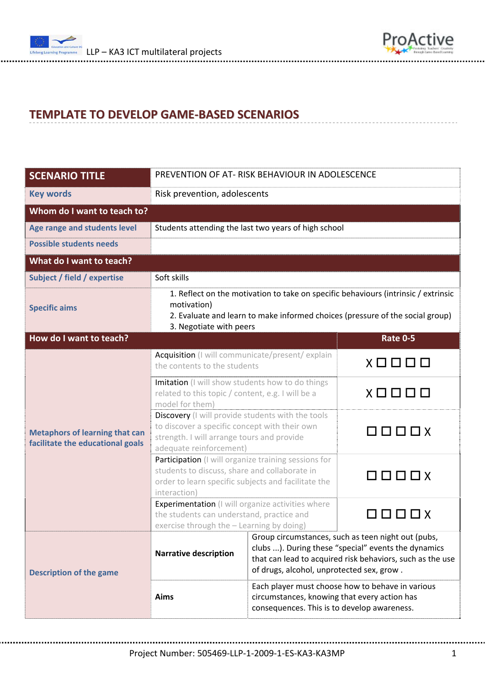



## **TEMPLATE TO DEVELOP GAME‐BASED SCENARIOS**

| <b>SCENARIO TITLE</b>                                                     | PREVENTION OF AT-RISK BEHAVIOUR IN ADOLESCENCE                                                                                                                                                                |                                                                                                                                                                                                                     |                                     |  |  |
|---------------------------------------------------------------------------|---------------------------------------------------------------------------------------------------------------------------------------------------------------------------------------------------------------|---------------------------------------------------------------------------------------------------------------------------------------------------------------------------------------------------------------------|-------------------------------------|--|--|
| <b>Key words</b>                                                          | Risk prevention, adolescents                                                                                                                                                                                  |                                                                                                                                                                                                                     |                                     |  |  |
| Whom do I want to teach to?                                               |                                                                                                                                                                                                               |                                                                                                                                                                                                                     |                                     |  |  |
| Age range and students level                                              | Students attending the last two years of high school                                                                                                                                                          |                                                                                                                                                                                                                     |                                     |  |  |
| <b>Possible students needs</b>                                            |                                                                                                                                                                                                               |                                                                                                                                                                                                                     |                                     |  |  |
| What do I want to teach?                                                  |                                                                                                                                                                                                               |                                                                                                                                                                                                                     |                                     |  |  |
| Subject / field / expertise                                               | Soft skills                                                                                                                                                                                                   |                                                                                                                                                                                                                     |                                     |  |  |
| <b>Specific aims</b>                                                      | 1. Reflect on the motivation to take on specific behaviours (intrinsic / extrinsic<br>motivation)<br>2. Evaluate and learn to make informed choices (pressure of the social group)<br>3. Negotiate with peers |                                                                                                                                                                                                                     |                                     |  |  |
| How do I want to teach?                                                   |                                                                                                                                                                                                               |                                                                                                                                                                                                                     | <b>Rate 0-5</b>                     |  |  |
| <b>Metaphors of learning that can</b><br>facilitate the educational goals | Acquisition (I will communicate/present/ explain<br>the contents to the students                                                                                                                              |                                                                                                                                                                                                                     | $X \square \square \square \square$ |  |  |
|                                                                           | Imitation (I will show students how to do things<br>related to this topic / content, e.g. I will be a<br>model for them)                                                                                      |                                                                                                                                                                                                                     | X □ □ □ □                           |  |  |
|                                                                           | Discovery (I will provide students with the tools<br>to discover a specific concept with their own<br>strength. I will arrange tours and provide<br>adequate reinforcement)                                   |                                                                                                                                                                                                                     | $\Box$                              |  |  |
|                                                                           | Participation (I will organize training sessions for<br>students to discuss, share and collaborate in<br>order to learn specific subjects and facilitate the<br>interaction)                                  |                                                                                                                                                                                                                     | $\Box$                              |  |  |
|                                                                           | Experimentation (I will organize activities where<br>the students can understand, practice and<br>exercise through the - Learning by doing)                                                                   |                                                                                                                                                                                                                     | 0000X                               |  |  |
| <b>Description of the game</b>                                            | <b>Narrative description</b>                                                                                                                                                                                  | Group circumstances, such as teen night out (pubs,<br>clubs ). During these "special" events the dynamics<br>that can lead to acquired risk behaviors, such as the use<br>of drugs, alcohol, unprotected sex, grow. |                                     |  |  |
|                                                                           | Aims                                                                                                                                                                                                          | Each player must choose how to behave in various<br>circumstances, knowing that every action has<br>consequences. This is to develop awareness.                                                                     |                                     |  |  |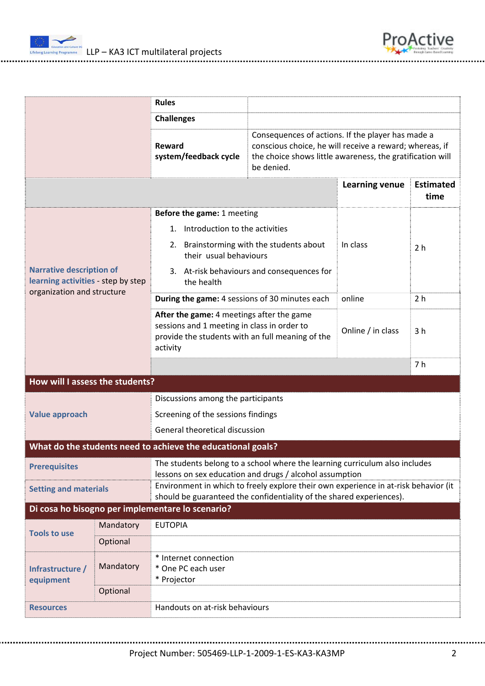



|                                                                                                                                                                                             |                                                                                                                                        | <b>Rules</b>                                                                                                                                             |          |                                                                                                                                                                           |                          |  |
|---------------------------------------------------------------------------------------------------------------------------------------------------------------------------------------------|----------------------------------------------------------------------------------------------------------------------------------------|----------------------------------------------------------------------------------------------------------------------------------------------------------|----------|---------------------------------------------------------------------------------------------------------------------------------------------------------------------------|--------------------------|--|
|                                                                                                                                                                                             |                                                                                                                                        | <b>Challenges</b>                                                                                                                                        |          |                                                                                                                                                                           |                          |  |
|                                                                                                                                                                                             |                                                                                                                                        | Reward<br>system/feedback cycle<br>be denied.                                                                                                            |          | Consequences of actions. If the player has made a<br>conscious choice, he will receive a reward; whereas, if<br>the choice shows little awareness, the gratification will |                          |  |
|                                                                                                                                                                                             |                                                                                                                                        |                                                                                                                                                          |          | <b>Learning venue</b>                                                                                                                                                     | <b>Estimated</b><br>time |  |
|                                                                                                                                                                                             |                                                                                                                                        | Before the game: 1 meeting                                                                                                                               |          |                                                                                                                                                                           |                          |  |
|                                                                                                                                                                                             |                                                                                                                                        | 1. Introduction to the activities                                                                                                                        |          |                                                                                                                                                                           |                          |  |
| <b>Narrative description of</b><br>learning activities - step by step                                                                                                                       | 2. Brainstorming with the students about<br>their usual behaviours                                                                     |                                                                                                                                                          | In class | 2 <sub>h</sub>                                                                                                                                                            |                          |  |
|                                                                                                                                                                                             | 3. At-risk behaviours and consequences for<br>the health                                                                               |                                                                                                                                                          |          |                                                                                                                                                                           |                          |  |
| organization and structure                                                                                                                                                                  |                                                                                                                                        | During the game: 4 sessions of 30 minutes each                                                                                                           |          | online                                                                                                                                                                    | 2 <sub>h</sub>           |  |
|                                                                                                                                                                                             |                                                                                                                                        | After the game: 4 meetings after the game<br>sessions and 1 meeting in class in order to<br>provide the students with an full meaning of the<br>activity |          | Online / in class                                                                                                                                                         | 3 <sub>h</sub>           |  |
|                                                                                                                                                                                             |                                                                                                                                        |                                                                                                                                                          |          |                                                                                                                                                                           | 7 h                      |  |
| How will I assess the students?                                                                                                                                                             |                                                                                                                                        |                                                                                                                                                          |          |                                                                                                                                                                           |                          |  |
| <b>Value approach</b>                                                                                                                                                                       |                                                                                                                                        | Discussions among the participants                                                                                                                       |          |                                                                                                                                                                           |                          |  |
|                                                                                                                                                                                             |                                                                                                                                        | Screening of the sessions findings                                                                                                                       |          |                                                                                                                                                                           |                          |  |
|                                                                                                                                                                                             |                                                                                                                                        | General theoretical discussion                                                                                                                           |          |                                                                                                                                                                           |                          |  |
| What do the students need to achieve the educational goals?                                                                                                                                 |                                                                                                                                        |                                                                                                                                                          |          |                                                                                                                                                                           |                          |  |
| <b>Prerequisites</b>                                                                                                                                                                        | The students belong to a school where the learning curriculum also includes<br>lessons on sex education and drugs / alcohol assumption |                                                                                                                                                          |          |                                                                                                                                                                           |                          |  |
| Environment in which to freely explore their own experience in at-risk behavior (it<br><b>Setting and materials</b><br>should be guaranteed the confidentiality of the shared experiences). |                                                                                                                                        |                                                                                                                                                          |          |                                                                                                                                                                           |                          |  |
| Di cosa ho bisogno per implementare lo scenario?                                                                                                                                            |                                                                                                                                        |                                                                                                                                                          |          |                                                                                                                                                                           |                          |  |
| <b>Tools to use</b>                                                                                                                                                                         | Mandatory                                                                                                                              | <b>EUTOPIA</b>                                                                                                                                           |          |                                                                                                                                                                           |                          |  |
|                                                                                                                                                                                             | Optional                                                                                                                               |                                                                                                                                                          |          |                                                                                                                                                                           |                          |  |
| Infrastructure /<br>equipment                                                                                                                                                               | Mandatory                                                                                                                              | * Internet connection<br>* One PC each user<br>* Projector                                                                                               |          |                                                                                                                                                                           |                          |  |
|                                                                                                                                                                                             | Optional                                                                                                                               |                                                                                                                                                          |          |                                                                                                                                                                           |                          |  |
| <b>Resources</b>                                                                                                                                                                            |                                                                                                                                        | Handouts on at-risk behaviours                                                                                                                           |          |                                                                                                                                                                           |                          |  |